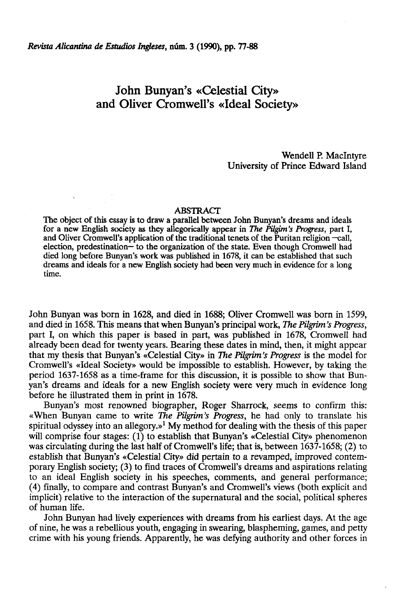## John Bunyan's «Celestial City» and Oliver Cromwell's «Ideal Society»

Wendell P. Maclntyre University of Prince Edward Island

## ABSTRACT

The object of this essay is to draw a parallel between John Bunyan's dreams and ideals for a new English society as they allegorically appear in *The Pügim's Progress,* part I, and Oliver Cromwell's application of the traditional tenets of the Puritan religion -call, election, predestination— to the organization of the state. Even though Cromwell had died long before Bunyan's work was published in 1678, it can be established that such dreams and ideáis for a new English society had been very much in evidence for a long time.

John Bunyan was born in 1628, and died in 1688; Oliver Cromwell was born in 1599, and died in 1658. This means that when Bunyan's principal work, *The Pügrim's Progress,*  part I, on which this paper is based in part, was published in 1678, Cromwell had already been dead for twenty years. Bearing these dates in mind, then, it might appear that my thesis that Bunyan's «Celestial City» in *The Pügrim's Progress* is the model for Cromwell's «Ideal Society» would be impossible to establish. However, by taking the period 1637-1658 as a time-frame for this discussion, it is possible to show that Bunyan's dreams and ideáis for a new English society were very much in evidence long before he illustrated them in print in 1678.

Bunyan's most renowned biographer, Roger Sharrock, seems to confirm this: «When Bunyan carne to write *The Pilgrim's Progress,* he had only to transíate his spiritual odyssey into an allegory.»<sup>1</sup> My method for dealing with the thesis of this paper will comprise four stages: (1) to establish that Bunyan's «Celestial City» phenomenon was circulating during the last half of Cromwell's life; that is, between 1637-1658; (2) to establish that Bunyan's «Celestial City» did pertain to a revamped, improved contemporary English society; (3) to find traces of Cromwell's dreams and aspirations relating to an ideal English society in his speeches, comments, and general performance; (4) finally, to compare and contrast Bunyan's and Cromwell's views (both explicit and implicit) relative to the interaction of the supernatural and the social, political spheres of human life.

John Bunyan had lively experiences with dreams from his earliest days. At the age of nine, he was a rebellious youth, engaging in swearing, blaspheming, games, and petty crime with his young friends. Apparently, he was defying authority and other forces in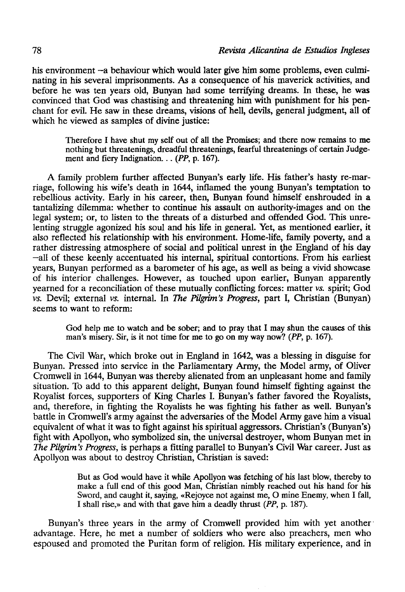his environment —a behaviour which would later give him some problems, even culminating in his several imprisonments. As a consequence of his maverick activities, and before he was ten years oíd, Bunyan had some terrifying dreams. In these, he was convinced that God was chastising and threatening him with punishment for his penchant for evil. He saw in these dreams, visions of hell, devils, general judgment, all of which he viewed as samples of divine justice:

Therefore I have shut my self out of all the Promises; and there now remains to me nothing but threatenings, dreadful threatenings, fearful threatenings of certain Judgement and fiery Indignation... *(PP,* p. 167).

A family problem further affected Bunyan's early life. His father's hasty re-marriage, following his wife's death in 1644, inflamed the young Bunyan's temptation to rebellious activity. Early in his career, then, Bunyan found himself enshrouded in a tantalizing dilemma: whether to continué his assault on authority-images and on the legal system; or, to listen to the threats of a disturbed and offended God. This unrelenting struggle agonized his soul and his life in general. Yet, as mentioned earlier, it also reflected his relationship with his environment. Home-life, family poverty, and a rather distressing atmosphere of social and political unrest in the England of his day —all of these keenly accentuated his internal, spiritual contortions. From his earliest years, Bunyan performed as a barometer of his age, as well as being a vivid showcase of his interior challenges. However, as touched upon earlier, Bunyan apparently yearned for a reconciliation of these mutually conflicting forces: matter *vs.* spirit; God *vs.* Devil; external vs. internal. In *The Pilgrim's Progress,* part I, Christian (Bunyan) seems to want to reform:

God help me to watch and be sober; and to pray that I may shun the causes of this man's misery. Sir, is it not time for me to go on my way now? *(PP,* p. 167).

The Civil War, which broke out in England in 1642, was a blessing in disguise for Bunyan. Pressed into service in the Parliamentary Army, the Model army, of Oliver Cromwell in 1644, Bunyan was thereby alienated from an unpleasant home and family situation. To add to this apparent delight, Bunyan found himself fighting against the Royalist forces, supporters of King Charles I. Bunyan's father favored the Royalists, and, therefore, in fighting the Royalists he was fighting his father as well. Bunyan's battle in Cromwell's army against the adversarles of the Model Army gave him a visual equivalent of what it was to fight against his spiritual aggressors. Christian's (Bunyan's) fight with Apollyon, who symbolized sin, the universal destroyer, whom Bunyan met in *The Pilgrim's Progress,* is perhaps a fítting parallel to Bunyan's Civil War career. Just as Apollyon was about to destroy Christian, Christian is saved:

> But as God would have it while Apollyon was fetching of his last blow, thereby to make a full end of this good Man, Christian nimbly reached out his hand for his Sword, and caught it, saying, «Rejoyce not against me, O mine Enemy, when I fall, I shall rise,» and with that gave him a deadly thrust *(PP,* p. 187).

Bunyan's three years in the army of Cromwell provided him with yet another advantage. Here, he met a number of soldiers who were also preachers, men who espoused and promoted the Puritan form of religión. His military experience, and in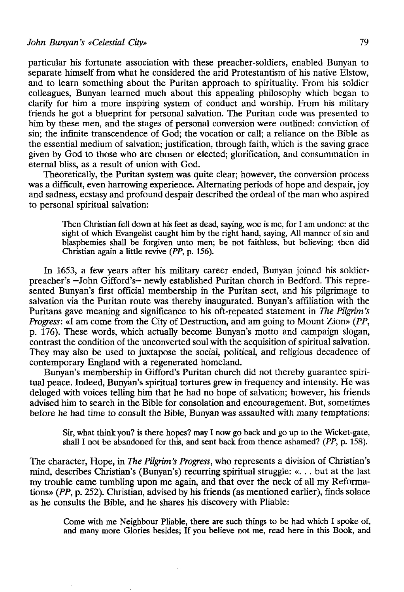particular his fortúnate association with these preacher-soldiers, enabled Bunyan to separate himself from what he considered the arid Protestantism of his native Elstow, and to learn something about the Puritan approach to spirituality. From his soldier colleagues, Bunyan learned much about this appealing philosophy which began to clarify for him a more inspiring system of conduct and worship. From his military friends he got a blueprint for personal salvation. The Puritan code was presented to him by these men, and the stages of personal conversion were outlined: conviction of sin; the infinite transcendence of God; the vocation or cali; a reliance on the Bible as the essential médium of salvation; justification, through faith, which is the saving grace given by God to those who are chosen or elected; glorification, and consummation in eternal bliss, as a result of unión with God.

Theoretically, the Puritan system was quite clear; however, the conversión process was a difficult, even harrowing experience. Alternating periods of hope and despair, joy and sadness, ecstasy and profound despair described the ordeal of the man who aspired to personal spiritual salvation:

Then Christian fell down at his feet as dead, saying, woe is me, for I am undone: at the sight of which Evangelist caught him by the right hand, saying, All manner of sin and blasphemies shall be forgiven unto men; be not faithless, but believing; then did Christian again a little revive *(PP,* p. 156).

In 1653, a few years after his military career ended, Bunyan joined his soldierpreacher's —John Gifford's— newly established Puritan church in Bedford. This represented Bunyan's first official membership in the Puritan sect, and his pilgrimage to salvation via the Puritan route was thereby inaugurated. Bunyan's affiliation with the Puritans gave meaning and significance to his oft-repeated statement in *The Pügrim's Progress:* «I am come from the City of Destruction, and am going to Mount Zion» *(PP,*  p. 176). These words, which actually become Bunyan's motto and campaign slogan, contrast the condition of the unconverted soul with the acquisition of spiritual salvation. They may also be used to juxtapose the social, political, and religious decadence of contemporary England with a regenerated homeland.

Bunyan's membership in Gifford's Puritan church did not thereby guarantee spiritual peace. Indeed, Bunyan's spiritual tortures grew in frequency and intensity. He was deluged with voices telling him that he had no hope of salvation; however, his friends advised him to search in the Bible for consolation and encouragement. But, sometimes before he had time to consult the Bible, Bunyan was assaulted with many temptations:

Sir, what think you? is there hopes? may I now go back and go up to the Wicket-gate, shall I not be abandoned for this, and sent back from thence ashamed? *(PP,* p. 158).

The character, Hope, in *The Pügrim's Progress,* who represents a división of Christian's mind, describes Christian's (Bunyan's) recurring spiritual struggle: «. . . but at the last my trouble carne tumbling upon me again, and that over the neck of all my Reformations» *(PP,* p. 252). Christian, advised by his friends (as mentioned earlier), finds solace as he consults the Bible, and he shares his discovery with Pliable:

Come with me Neighbour Pliable, there are such things to be had which I spoke of, and many more Glories besides; If you believe not me, read here in this Book, and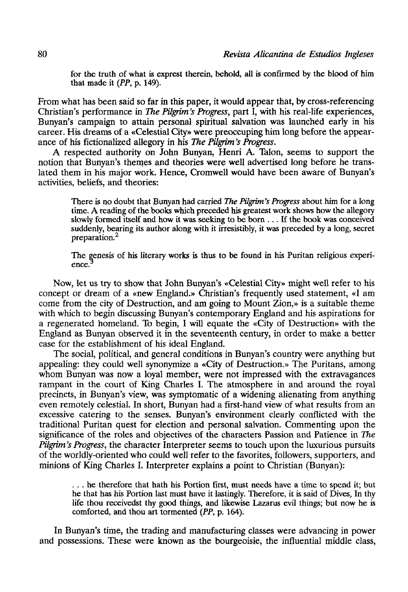for the truth of what is exprest therein, behold, all is confirmed by the blood of him that made it *(PP,* p. 149).

From what has been said so far in this paper, it would appear that, by cross-referencing Christian's performance in *The Pilgrim's Progress,* part I, with his real-life experiences, Bunyan's campaign to attain personal spiritual salvation was launchéd early in his career. His dreams of a «Celestial City» were preoccuping him long before the appearance of his fictionalized allegory in his *The Pilgrim's Progress.* 

A respected authority on John Bunyan, Henri A. Talón, seems to support the notion that Bunyan's themes and theories were well advertised long before he translated them in his major work. Henee, Cromwell would have been aware of Bunyan's activities, beliefs, and theories:

There is no doubt that Bunyan had carried *The Pilgrim's Progress* about him for a long time. A reading of the books which preceded his greatest work shows how the allegory slowly formed itself and how it was seeking to be born .. . If the book was conceived suddenly, bearing its author along with ít irresistibly, it was preceded by a long, secret preparation.<sup>2</sup>

The genesis of his literary works is thus to be found in his Puritan religious experience.

Now, let us try to show that John Bunyan's «Celestial City» might well refer to his concept or dream of a «new England.» Christian's frequently used statement, «I am come from the city of Destruction, and am going to Mount Zion,» is a suitable theme with which to begin discussing Bunyan's contemporary England and his aspirations for a regenerated homeland. To begin, I will equate the «City of Destruction» with the England as Bunyan observed it in the seventeenth century, in order to make a better case for the establishment of his ideal England.

The social, political, and general conditions in Bunyan's country were anything but appealing: they could well synonymize a «City of Destruction.» The Puritans, among whom Bunyan was now a loyal member, were not impressed with the extravagances rampant in the court of King Charles I. The atmosphere in and around the royal precinets, in Bunyan's view, was symptomatic of a widening alienating from anything even remotely celestial. In short, Bunyan had a first-hand view of what results from an excessive catering to the senses. Bunyan's environment clearly conflicted with the traditional Puritan quest for election and personal salvation. Commenting upon the significance of the roles and objectives of the characters Passion and Patience in *The Pilgrim's Progress,* the character Interpreter seems to touch upon the luxurious pursuits of the worldly-oriented who could well refer to the favorites, followers, supporters, and minions of King Charles I. Interpreter explains a point to Christian (Bunyan):

. . . he therefore that hath his Portion first, must needs have a time to spend it; but he that has his Portion last must have it lastingly. Therefore, it is said of Dives, In thy life thou receivedst thy good things, and likewise Lazarus evil things; but now he is comforted, and thou art tormented *{PP,* p. 164).

In Bunyan's time, the trading and manufacturing classes were advancing in power and possessions. These were known as the bourgeoisie, the influential middle class,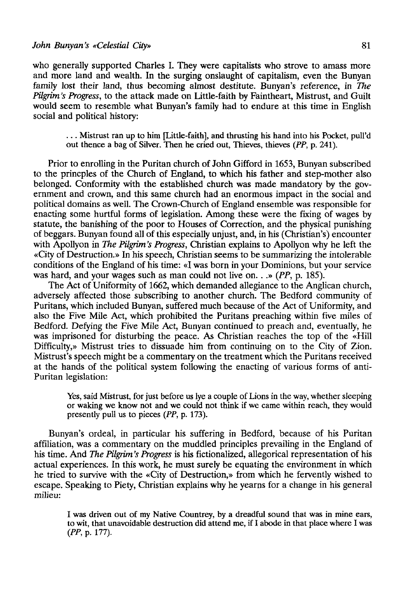who generally supported Charles I. They were capitalists who strove to amass more and more land and wealth. In the surging onslaught of capitalism, even the Bunyan family lost their land, thus becoming almost destitute. Bunyan's reference, in *The Pilgrim's Progress,* to the attack made on Little-faith by Faintheart, Mistrust, and Guilt would seem to resemble what Bunyan's family had to endure at this time in English social and political history:

. . . Mistrust ran up to him [Little-faith], and thrusting his hand into his Pocket, pull'd out thence a bag of Silver. Then he cried out, Thieves, thieves *(PP,* p. 241).

Prior to enrolling in the Puritan church of John Gifford in 1653, Bunyan subscribed to the princples of the Church of England, to which his father and step-mother also belonged. Conformity with the established church was made mandatory by the government and crown, and this same church had an enormous impact in the social and political domains as well. The Crown-Church of England ensemble was responsible for enacting some hurtful forms of legislation. Among these were the fixing of wages by statute, the banishing of the poor to Houses of Correction, and the physical punishing of beggars. Bunyan found all of this especially unjust, and, in his (Christian's) encounter with Apollyon in *The Pilgrim's Progress,* Christian explains to Apollyon why he left the «City of Destruction.» In his speech, Christian seems to be summarizing the intolerable conditions of the England of his time: «I was born in your Dominions, but your service was hard, and your wages such as man could not live on. . .» *(PP,* p. 185).

The Act of Uniformity of 1662, which demanded allegiance to the Anglican church, adversely affected those subscribing to another church. The Bedford community of Puritans, which included Bunyan, suffered much because of the Act of Uniformity, and also the Five Mile Act, which prohibited the Puritans preaching within five miles of Bedford. Defying the Five Mile Act, Bunyan continued to preach and, eventually, he was imprisoned for disturbing the peace. As Christian reaches the top of the «Hill Difficulty,» Mistrust tries to dissuade him from continuing on to the City of Zion. Mistrust's speech might be a commentary on the treatment which the Puritans received at the hands of the political system following the enacting of various forms of anti-Puritan legislation:

Yes, said Mistrust, for just before us lye a couple of Lions in the way, whether sleeping or waking we know not and we could not think if we carne within reach, they would presently pulí us to pieces *(PP,* p. 173).

Bunyan's ordeal, in particular his suffering in Bedford, because of his Puritan affiliation, was a commentary on the muddled principies prevailing in the England of his time. And *The Pilgrim's Progress* is his fictionalized, allegorical representation of his actual experiences. In this work, he must surely be equating the environment in which he tried to survive with the «City of Destruction,» from which he fervently wished to escape. Speaking to Piety, Christian explains why he yearns for a change in his general milieu:

I was driven out of my Native Countrey, by a dreadful sound that was in mine ears, to wit, that unavoidable destruction did attend me, if I abode in that place where I was *(PP,* p. 177).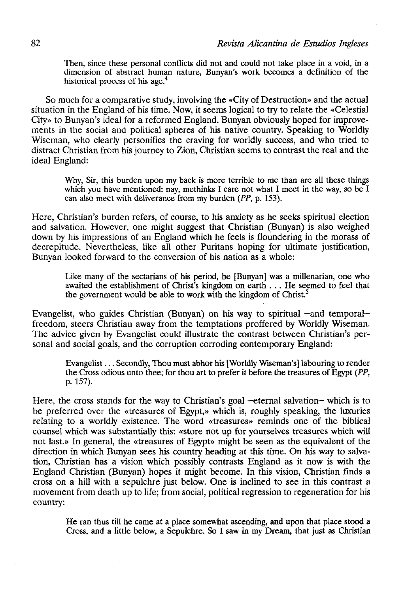Then, since these personal conflicts did not and could not take place in a void, in a dimensión of abstract human nature, Bunyan's work becomes a definition of the historical process of his age.<sup>4</sup>

So much for a comparative study, involving the «City of Destruction» and the actual sítuation in the England of his time. Now, it seems logical to try to relate the «Celestial City» to Bunyan's ideal for a reformed England. Bunyan obviously hoped for improvements in the social and political spheres of his native country. Speaking to Worldly Wiseman, who clearly personifies the craving for worldly success, and who tried to distract Christian from his journey to Zion, Christian seems to contrast the real and the ideal England:

Why, Sir, this burden upon my back is more terrible to me than are all these things which you have mentioned: nay, methinks I care not what I meet in the way, so be I can also meet with deliverance from my burden *(PP,* p. 153).

Here, Christian's burden refers, of course, to his anxiety as he seeks spiritual election and salvation. However, one might suggest that Christian (Bunyan) is also weighed down by his impressions of an England which he feels is floundering in the morass of decrepitude. Nevertheless, like all other Puritans hoping for ultímate justification, Bunyan looked forward to the conversion of his nation as a whole:

Like many of the sectarians of his period, he [Bunyan] was a millenarian, one who awaited the establishment of Christ's kingdom on earth . . . He seemed to feel that the government would be able to work with the kingdom of Christ.<sup>5</sup>

Evangelist, who guides Christian (Bunyan) on his way to spiritual —and temporal freedom, steers Christian away from the temptations proffered by Worldly Wiseman. The advice given by Evangelist could illustrate the contrast between Christian's personal and social goals, and the corruption corroding contemporary England:

Evangelist... Secondly, Thou must abhor his [Worldly Wiseman's] labouring to render the Cross odious unto thee; for thou art to prefer it before the treasures of Egypt *(PP,*  p. 157).

Here, the cross stands for the way to Christian's goal -eternal salvation- which is to be preferred over the «treasures of Egypt,» which is, roughly speaking, the luxuries relating to a worldly existence. The word «treasures» reminds one of the biblical counsel which was substantially this: «store not up for yourselves treasures which will not last.» In general, the «treasures of Egypt» might be seen as the equivalent of the direction in which Bunyan sees his country heading at this time. On his way to salvation, Christian has a visión which possibly contrasts England as it now is with the England Christian (Bunyan) hopes it might become. In this visión, Christian finds a cross on a hill with a sepulchre just below. One is inclined to see in this contrast a movement from death up to life; from social, political regression to regeneration for his country:

He ran thus till he came at a place somewhat ascending, and upon that place stood a Cross, and a little below, a Sepulchre. So I saw in my Dream, that just as Christian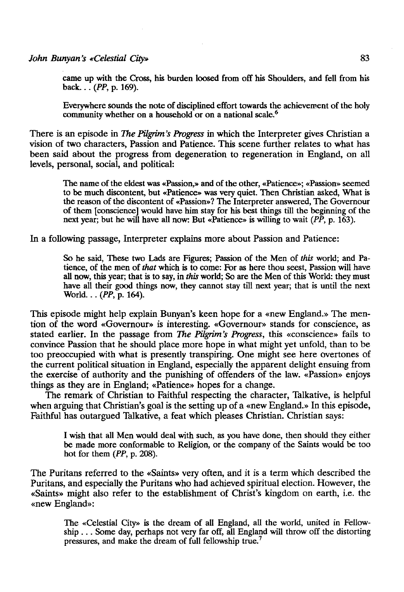carne up with the Cross, his burden loosed from off his Shoulders, and fell from his back... *(PP,* p. 169).

Everywhere sounds the note of disciplined effort towards the achievement of the holy community whether on a household or on a national scale.<sup>6</sup>

There is an episode in *The Pilgrim's Progress* in which the Interpreter gives Christian a visión of two characters, Passion and Patience. This scene further relates to what has been said about the progress from degeneration to regeneration in England, on all levels, personal, social, and political:

The name of the eldest was «Passion,» and of the other, «Patience»; «Passion» seemed to be much discontent, but «Patience» was very quiet. Then Christian asked, What is the reason of the discontent of «Passion»? The Interpreter answered, The Governour of them [conscience] would have him stay for his best things till the beginning of the next year; but he will have all now: But «Patience» is willing to wait *(PP,* p. 163).

In a following passage, Interpreter explains more about Passion and Patience:

So he said, These two Lads are Figures; Passion of the Men of *this* world; and Patience, of the men of *that* which is to come: For as here thou seest, Passion will have all now, this year; that is to say, in *this* world; So are the Men of this World: they must have all their good things now, they cannot stay till next year; that is until the next World... *(PP,* p. 164).

This episode might help explain Bunyan's keen hope for a «new England.» The mention of the word «Governour» is interesting. «Governour» stands for conscience, as stated earlier. In the passage from *The Pilgrim's Progress,* this «conscience» fails to convince Passion that he should place more hope in what might yet unfold, than to be too preoccupied with what is presently transpiring. One might see here overtones of the current political situation in England, especially the apparent delight ensuing from the exercise of authority and the punishing of offenders of the law. «Passion» enjoys things as they are in England; «Patience» hopes for a change.

The remark of Christian to Faithful respecting the character, Talkative, is helpful when arguing that Christian's goal is the setting up of a «new England.» In this episode, Faithful has outargued Talkative, a feat which pleases Christian. Christian says:

I wish that all Men would deal with such, as you have done, then should they either be made more conformable to Religión, or the company of the Saints would be too hot for them *(PP,* p. 208).

The Puritans referred to the «Saints» very often, and it is a term which described the Puritans, and especially the Puritans who had achieved spiritual election. However, the «Saints» might also refer to the establishment of Christ's kingdom on earth, i.e. the «new England»:

The «Celestial City» is the dream of all England, all the world, united in Fellowship .. . Some day, perhaps not very far off, all England will throw off the distorting pressures, and make the dream of full fellowship true.<sup>7</sup>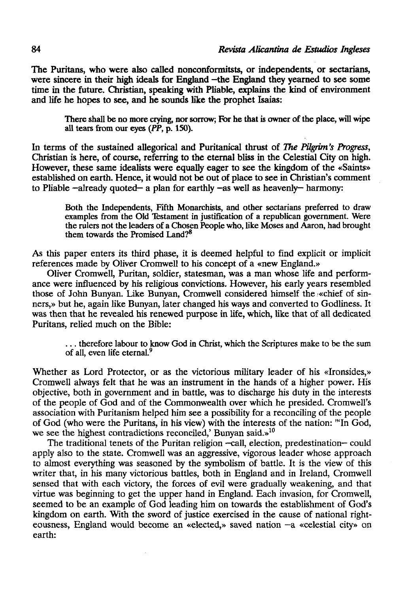**The Puritans, who were also called nonconformitsts, or independents, or sectarians, were sincere in their high ideáis for England —the England they yearned to see some time in the future. Christian, speaking with Pliable, explains the kind of environment and life he hopes to see, and he sounds like the prophet Isaías:** 

**There shall be** no **more crying, ñor sorrow; For he that** is owner of the place, will wipe all tears from our eyes *(PP,* **p. 150).** 

In terms **of** the sustained allegorícal **and Puritanical thrust of** *The Pilgrim's Progress,*  Christian is here, **of** course, referring **to the eternal bliss in** the Celestial City on high. However, these same idealists were equally eager **to** see the kingdom of the «Saints» established on earth. Henee, **it would not** bé **out of** place **to** see in Christian's comment to Pliable -already quoted— a plan for earthly -as well as heavenly- harmony:

Both the Independents, Fifth Monarchists, and other sectarians preferred to draw examples from the Old Testament in justification of a republican government. Were the rulers not the leaders of a Chosen People who, like Moses and Aaron, had brought them towards the Promised Land?<sup>8</sup>

As this paper enters its third phase, it is deemed helpful to find explicit or implicit references made by Oliver Cromwell to his concept of a «new England.»

Oliver Cromwell, Puritan, soldier, statesman, was a man whose life and performance were influenced by his religious convictions. However, his early years resembled those of John Bunyan. Like Bunyan, Cromwell considered himself the «chief of sinners,» but he, again like Bunyan, later changed his ways and converted to Godliness. It was then that he revealed his renewed purpose in life, which, like that of all dedicated Puritans, relied much on the Bible:

. . . therefore labour to know God in Christ, which the Scriptures make to be the sum of all, even life eternal.<sup>9</sup>

Whether as Lord Protector, or as the victorious military leader of his «Ironsides,» Cromwell always felt that he was an instrument in the hands of a higher power. His objective, both in government and in battle, was to discharge his duty in the interests of the people of God and of the Commonwealth over which he presided. Cromwell's association with Puritanism helped him see a possibiliry for a reconciling of the people of God (who were the Puritans, in his view) with the interests of the nation: '"In God, we see the highest contradictions reconciled,' Bunyan said.»<sup>10</sup>

The traditional tenets of the Puritan religión -cali, election, predestination— could apply also to the state. Cromwell was an aggressive, vigorous leader whose approach to almost everything was seasoned by the symbolism of battle. It is the view of this writer that, in his many victorious battles, both in England and in Ireland, Cromwell sensed that with each victory, the forces of evil were gradually weakening, and that virtue was beginning to get the upper hand in England. Each invasion, for Cromwell, seemed to be an example of God leading him on towards the establishment of God's kingdom on earth. With the sword of justice exercised in the cause of national righteousness, England would become an «elected,» saved nation —a «celestial city» on earth: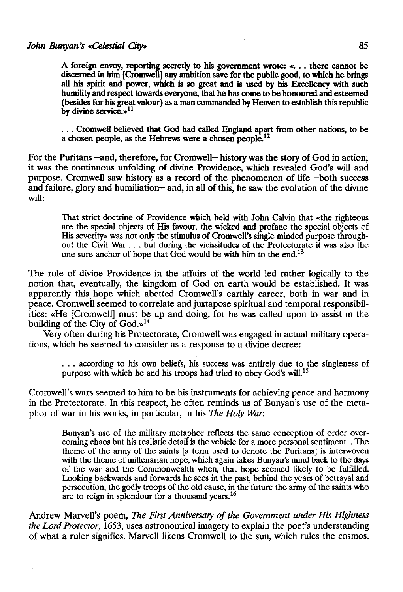A foreign envoy, reporting secretly to his goverament wrote: «. . . there cannot be discerned in him [Cromwell] any ambition save for the public good, to which he brings all his spirit and power, which is so great and is used by his Excellency with such humility and respect towards everyone, that he has come to be honoured and esteemed (besides for his great valour) as a man commanded by Heaven to establish this republic by divine service.»<sup>11</sup>

. . . Cromwell believed that God had called England apart from other nations, to be a chosen people, as the Hebrews were a chosen people.<sup>12</sup>

For the Puritans —and, therefore, for Cromwell— history was the story of God in action; it was the continuous unfolding of divine Providence, which revealed God's will and purpose. Cromwell saw history as a record of the phenomenon of life —both success and failure, glory and humiliation— and, in all of this, he saw the evolution of the divine will:

That strict doctrine of Providence which held with John Calvin that «the righteous are the special objects of His favour, the wicked and profane the special objects of His severity» was not only the stimulus of Cromwell's single minded purpose throughout the Civil War .... but during the vicissitudes of the Protectorate it was also the one sure anchor of hope that God would be with him to the end.<sup>13</sup>

The role of divine Providence in the affairs of the world led rather logically to the notion that, eventüally, the kingdom of God on earth would be established. It was apparently this hope which abetted Cromwell's earthly career, both in war and in peace. Cromwell seemed to correlate and juxtapose spiritual and temporal responsibilities: «He [Cromwell] must be up and doing, for he was called upon to assist in the building of the City of God.»<sup>14</sup>

Very often during his Protectorate, Cromwell was engaged in actual military operations, which he seemed to consider as a response to a divine decree:

. . . according to his own beliefs, his success was entirely due to the singleness of purpose with which he and his troops had tried to obey God's will.<sup>15</sup>

Cromwell's wars seemed to him to be his instruments for achieving peace and harmony in the Protectorate. In this respect, he often reminds us of Bunyan's use of the metaphor of war in his works, in particular, in his *The Hofy War:* 

Bunyan's use of the military metaphor reflects the same conception of order overcoming chaos but his realistic detail is the vehicle for a more personal sentiment... The theme of the army of the saints [a term used to denote the Puritans] is interwoven with the theme of millenarian hope, which again takes Bunyan's mind back to the days of the war and the Commonwealth when, that hope seemed likely to be fulfilled. Looking backwards and forwards he sees in the past, behind the years of betrayal and persecution, the godly troops of the oíd cause, in the future the army of the saints who are to reign in splendour for a thousand years.<sup>16</sup>

Andrew Marvell's poem, *The First Anniversary of the Government under His Highness the Lord Protector,* 1653, uses astronomical imagery to explain the poet's understanding of what a ruler signifies. Marvell likens Cromwell to the sun, which rules the cosmos.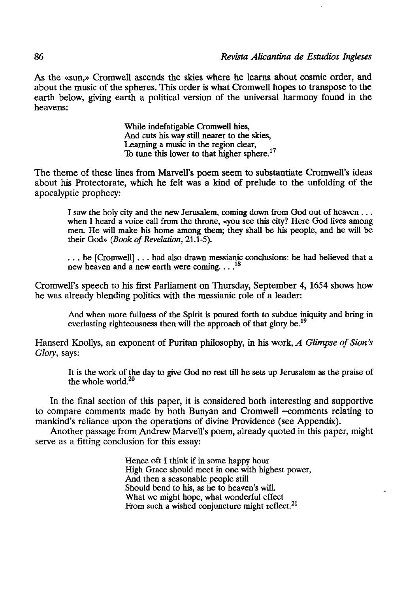As the «sun,» Cromwell ascends the skies where he learns about cosmic order, and about the music of the spheres. This order is what Cromwell hopes to transpose to the earth below, giving earth a political versión of the universal harmony found in the heavens:

> While indefatigable Cromwell hies, And cuts his way still nearer to the skies, Learning a music in the region clear, To tune this lower to that higher sphere.<sup>17</sup>

The theme of these lines from Marvell's poem seem to substantiate Cromwell's ideas about his Protectorate, which he felt was a kind of prelude to the unfolding of the apocalyptic prophecy:

I saw the holy city and the new Jerusalem, coming down from God out of heaven .. . when I heard a voice cali from the throne, «you see this city? Here God lives among men. He will make his home among them; they shall be his people, and he will be their God» *(Book of Revelation,* 21.1-5).

. . . he [Cromwell] .. . had also drawn messianic conclusions: he had believed that a new heaven and a new earth were coming...<sup>18</sup>

Cromwell's speech to his first Parliament on Thursday, September 4, 1654 shows how he was already blending politics with the messianic role of a leader:

And when more fullness of the Spirit is poured forth to subdue iniquity and bring in everlasting righteousness then will the approach of that glory be.<sup>19</sup>

Hanserd Knollys, an exponent of Puritan philosophy, in his work, *A Glimpse of Sion's Glory,* says:

It is the work of the day to give God no rest till he sets up Jerusalem as the praise of the whole world.<sup>20</sup>

In the final section of this paper, it is considered both interesting and supportive to compare comments made by both Bunyan and Cromwell -comments relating to mankind's reliance upon the operations of divine Providence (see Appendix).

Another passage from Andrew Marvell's poem, already quoted in this paper, might serve as a fitting conclusion for this essay:

> Hence oft I think if in some happy hour High Grace should meet in one with highest power, And then a seasonable people still Should bend to his, as he to heaven's will, What we might hope, what wonderful effect From such a wished conjuncture might reflect. $^{21}$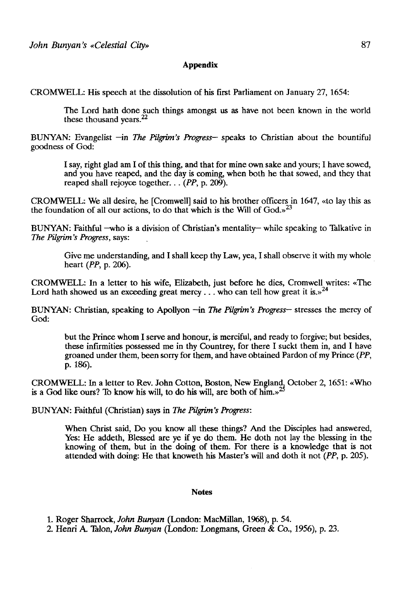## Appendix

CROMWELL: His speech at the dissolution of his first Parliament on January 27, 1654:

The Lord hath done such things amongst us as have not been known in the world these thousand years.<sup>22</sup>

BUNYAN: Evangelist —in *The Pilgrim's Progress—* speaks to Christian about the bountiful goodness of God:

I say, right glad am I of this thing, and that for mine own sake and yours; I have sowed, and you have reaped, and the day is coming, when both he that sowed, and they that reaped shall rejoyce together... *(PP,* p. 209).

CROMWELL: We all desire, he [Cromwell] said to his brother offícers in 1647, «to lay this as the foundation of all our actions, to do that which is the Will of  $God.^23$ 

BUNYAN: Faithful -who is a division of Christian's mentality- while speaking to Talkative in *The Pilgrim's Progress,* says:

Give me understanding, and I shall keep thy Law, yea, I shall observe it with my whole heart *(PP,* p. 206).

CROMWELL: In a letter to his wife, Elizabeth, just before he dies, Cromwell writes: «The Lord hath showed us an exceeding great mercy ... who can tell how great it is.»<sup>24</sup>

BUNYAN: Christian, speaking to Apollyon —in *The Pilgrim's Progress—* stresses the mercy of God:

but the Prince whom I serve and honour, is merciful, and ready to forgive; but besides, these infirmities possessed me in thy Countrey, for there I suckt them in, and I have groaned under them, been sorry for them, and have obtained Pardon of my Prince *(PP,*  p. 186).

CROMWELL: In a letter to Rev. John Cotton, Boston, New England, October 2, 1651: «Who is a God like ours? To know his will, to do his will, are both of him.»

BUNYAN: Faithful (Christian) says in *The Pilgrim's Progress:* 

When Chríst said, Do you know all these things? And the Disciples had answered, Yes: He addeth, Blessed are ye if ye do them. He doth not lay the blessing in the knowing of them, but in the doing of them. For there is a knowledge that is not attended with doing: He that knoweth his Master's will and doth it not *(PP,* p. 205).

## Notes

1. Roger Sharrock, *John Bunyan* (London: MacMillan, 1968), p. 54.

2. Henri A. Talón, *John Bunyan* (London: Longmans, Green & Co., 1956), p. 23.